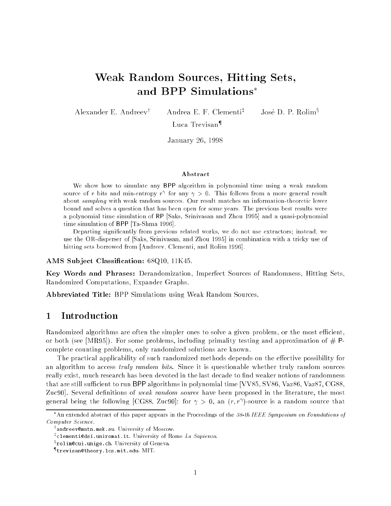# Weak Random Sources, Hitting Sets, and BPP Simulations

Alexander E. Andreev<sup>†</sup>

Andrea E. F. Clementi<sup>‡</sup>

José D. P. Rolim<sup>§</sup>

Luca Trevisan<sup>¶</sup>

January 26, 1998

#### Abstract

We show how to simulate any BPP algorithm in polynomial time using a weak random source of r bits and min-entropy  $r_+$  for any  $\gamma > 0$ . This follows from a more general result about sampling with weak random sources. Our result matches an information-theoretic lower bound and solves a question that has been open for some years. The previous best results were a polynomial time simulation of RP [Saks, Srinivasan and Zhou 1995] and a quasi-polynomial time simulation of BPP [Ta-Shma 1996].

Departing signicantly from previous related works, we do not use extractors; instead, we use the OR-disperser of [Saks, Srinivasan, and Zhou 1995] in combination with a tricky use of hitting sets borrowed from [Andreev, Clementi, and Rolim 1996].

AMS Subject Classification: 68Q10, 11K45.

Key Words and Phrases: Derandomization, Imperfect Sources of Randomness, Hitting Sets, Randomized Computations, Expander Graphs.

Abbreviated Title: BPP Simulations using Weak Random Sources.

## 1 Introduction

Randomized algorithms are often the simpler ones to solve a given problem, or the most efficient, or both (see [MR95]). For some problems, including primality testing and approximation of  $#$  Pcomplete counting problems, only randomized solutions are known.

The practical applicability of such randomized methods depends on the effective possibility for an algorithm to access *truly random bits*. Since it is questionable whether truly random sources really exist, much research has been devoted in the last decade to find weaker notions of randomness that are still sufficient to run BPP algorithms in polynomial time [VV85, SV86, Vaz86, Vaz87, CG88, Zuc90. Several definitions of *weak random source* have been proposed in the literature, the most general being the following [CG88, Zuc90]: for  $\gamma > 0$ , an  $(r,r$  -source is a random source that

An extended abstract of this paper appears in the Proceedings of the 38-th IEEE Symposium on Foundations of Computer Science.

<sup>y</sup> andreev@mntn.msk.su. University of Moscow.

<sup>\*</sup>clementi@dsi.uniromal.it. University of Kome *La Sapienza*.

<sup>x</sup> rolim@cui.unige.ch. University of Geneva.

<sup>{</sup> trevisan@theory.lcs.mit.edu. MIT.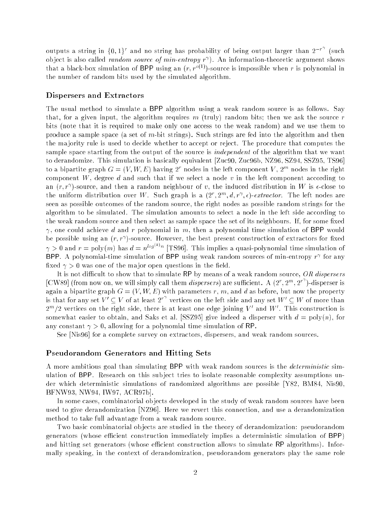outputs a string in  $\{0,1\}^r$  and no string has probability of being output larger than  $2^{-r}$  (such ob ject is also called random source of min-entropy r ). An information-theoretic argument shows that a black-box simulation of BPP using an  $(r, r^{\circ(1)})$ -source is impossible when r is polynomial in the number of random bits used by the simulated algorithm.

#### Dispersers and Extractors

The usual method to simulate a BPP algorithm using a weak random source is as follows. Say that, for a given input, the algorithm requires  $m$  (truly) random bits; then we ask the source  $r$ bits (note that it is required to make only one access to the weak random) and we use them to produce a sample space (a set of m-bit strings). Such strings are fed into the algorithm and then the ma jority rule is used to decide whether to accept or reject. The procedure that computes the sample space starting from the output of the source is *independent* of the algorithm that we want to derandomize. This simulation is basically equivalent [Zuc90, Zuc96b, NZ96, SZ94, SSZ95, TS96] to a pipartite graph  $G = (V, W, E)$  having 2 modes in the left component  $V$  , 2 modes in the right component W, degree d and such that if we select a node v in the left component according to an  $(r, r^{\,\prime})$ -source, and then a random neighbour of  $v$ , the induced distribution in  $W$  is  $\epsilon$ -close to the uniform distribution over W. Such graph is a  $\{Z_i, Z_i, a, r^i, \epsilon\}$ -extractor. The left nodes are seen as possible outcomes of the random source, the right nodes as possible random strings for the algorithm to be simulated. The simulation amounts to select a node in the left side according to the weak random source and then select as sample space the set of its neighbours. If, for some fixed  $\gamma$ , one could achieve d and r polynomial in m, then a polynomial time simulation of BPP would be possible using an  $(r, r_{\perp})$ -source. However, the best present construction of extractors for fixed  $\gamma > 0$  and  $r = \text{poly}(m)$  has  $d = n^{log(\gamma)n}$  [TS96]. This implies a quasi-polynomial time simulation of  $\mathsf{DPT}$ . A polynomial-time simulation of  $\mathsf{DPT}$  using weak random sources of min-entropy  $r_+$  for any fixed  $\gamma > 0$  was one of the major open questions in the field.

It is not difficult to show that to simulate RP by means of a weak random source, OR dispersers  $|{\rm CW89}|$  (from now on, we will simply call them *dispersers*) are sufficient. A  $(2^r, 2^m, 2^{r})$ -disperser is again a bipartite graph  $G = (V, W, E)$  with parameters r, m, and d as before, but now the property is that for any set  $V' \subseteq V$  of at least  $2^{r}$  vertices on the left side and any set  $W' \subseteq W$  of more than  $2$  /2 vertices on the right side, there is at least one edge joining V  $\,$  and W  $\,$  . This construction is somewhat easier to obtain, and Saks et al. [SSZ95] give indeed a disperser with  $d = \text{poly}(n)$ , for any constant  $\gamma > 0$ , allowing for a polynomial time simulation of RP.

See [Nis96] for a complete survey on extractors, dispersers, and weak random sources.

#### Pseudorandom Generators and Hitting Sets

A more ambitious goal than simulating BPP with weak random sources is the deterministic simulation of BPP. Research on this sub ject tries to isolate reasonable complexity assumptions under which deterministic simulations of randomized algorithms are possible [Y82, BM84, Nis90, BFNW93, NW94, IW97, ACR97b].

In some cases, combinatorial ob jects developed in the study of weak random sources have been used to give derandomization [NZ96]. Here we revert this connection, and use a derandomization method to take full advantage from a weak random source.

Two basic combinatorial ob jects are studied in the theory of derandomization: pseudorandom generators (whose efficient construction immediately implies a deterministic simulation of BPP) and hitting set generators (whose efficient construction allows to simulate RP algorithms). Informally speaking, in the context of derandomization, pseudorandom generators play the same role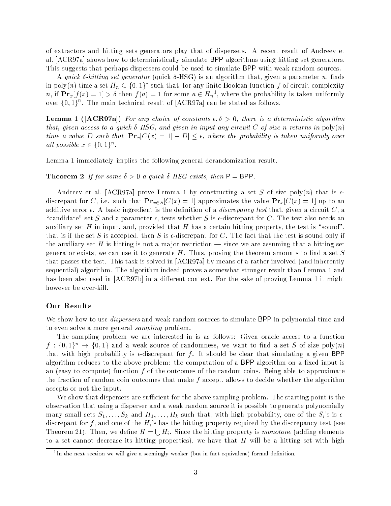of extractors and hitting sets generators play that of dispersers. A recent result of Andreev et al. [ACR97a] shows how to deterministically simulate BPP algorithms using hitting set generators. This suggests that perhaps dispersers could be used to simulate BPP with weak random sources.

A quick  $\delta$ -hitting set generator (quick  $\delta$ -HSG) is an algorithm that, given a parameter n, finds in poly $(n)$  time a set  $H_n\subseteq \{0,1\}$  -such that, for any finite Boolean function  $f$  of circuit complexity  $n,$  if  ${\bf Pr}_x$ [[(x)  $=$  1]  $>$  0 then  $f(a) = 1$  for some  $a \in H_n$ ], where the probability is taken uniformly over  $\{0,1\}$  . The main technical result of  $[\mathrm{ACK97a}]$  can be stated as follows.

**Lemma 1** ([ACR97a]) For any choice of constants  $\epsilon, \delta > 0$ , there is a deterministic algorithm that, given access to a quick  $\delta$ -HSG, and given in input any circuit C of size n returns in  $poly(n)$ time a value D such that  $|\mathbf{Pr}_x[C(x) = 1] - D| \leq \epsilon$ , where the probability is taken uniformly over all possible  $x \in \{0, 1\}$ .

Lemma 1 immediately implies the following general derandomization result.

**Theorem 2** If for some  $\delta > 0$  a quick  $\delta$ -HSG exists, then  $P = BPP$ .

Andreev et al. [ACR97a] prove Lemma 1 by constructing a set S of size poly $(n)$  that is  $\epsilon$ discrepant for C, i.e. such that  $\mathbf{Pr}_{x \in S} [C(x) = 1]$  approximates the value  $\mathbf{Pr}_{x} [C(x) = 1]$  up to an additive error  $\epsilon$ . A basic ingredient is the definition of a *discrepancy test* that, given a circuit  $C$ , a "candidate" set S and a parameter  $\epsilon$ , tests whether S is  $\epsilon$ -discrepant for C. The test also needs an auxiliary set H in input, and, provided that H has a certain hitting property, the test is "sound". that is if the set S is accepted, then S is  $\epsilon$ -discrepant for C. The fact that the test is sound only if the auxiliary set H is hitting is not a major restriction  $\frac{1}{10}$  since we are assuming that a hitting set generator exists, we can use it to generate  $H$ . Thus, proving the theorem amounts to find a set  $S$ that passes the test. This task is solved in [ACR97a] by means of a rather involved (and inherently sequential) algorithm. The algorithm indeed proves a somewhat stronger result than Lemma 1 and has been also used in  $[ACR97b]$  in a different context. For the sake of proving Lemma 1 it might however be over-kill.

### Our Results

We show how to use *dispersers* and weak random sources to simulate BPP in polynomial time and to even solve a more general sampling problem.

The sampling problem we are interested in is as follows: Given oracle access to a function  $f: \{0,1\}^n \to \{0,1\}$  and a weak source of randomness, we want to find a set S of size poly $(n)$ that with high probability is  $\epsilon$ -discrepant for f. It should be clear that simulating a given BPP algorithm reduces to the above problem: the computation of a BPP algorithm on a fixed input is an (easy to compute) function f of the outcomes of the random coins. Being able to approximate the fraction of random coin outcomes that make f accept, allows to decide whether the algorithm accepts or not the input.

We show that dispersers are sufficient for the above sampling problem. The starting point is the observation that using a disperser and a weak random source it is possible to generate polynomially many small sets  $S_1, \ldots, S_k$  and  $H_1, \ldots, H_k$  such that, with high probability, one of the  $S_i$ 's is  $\epsilon$ discrepant for f, and one of the  $H_i$ 's has the hitting property required by the discrepancy test (see Theorem 21). Then, we define  $H = \bigcup H_i$ . Since the hitting property is monotone (adding elements to a set cannot decrease its hitting properties), we have that  $H$  will be a hitting set with high

<sup>1</sup> In the next section we will give a seemingly weaker (but in fact equivalent) formal denition.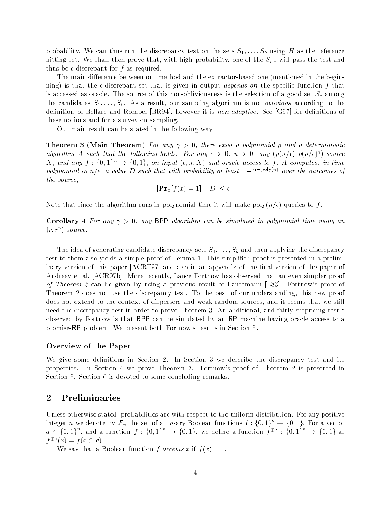probability. We can thus run the discrepancy test on the sets  $S_1, \ldots, S_k$  using H as the reference hitting set. We shall then prove that, with high probability, one of the  $S_i$ 's will pass the test and thus be  $\epsilon$ -discrepant for f as required.

The main difference between our method and the extractor-based one (mentioned in the beginning) is that the  $\epsilon$ -discrepant set that is given in output *depends on* the specific function f that is accessed as oracle. The source of this non-obliviousness is the selection of a good set  $S_j$  among the candidates  $S_1, \ldots, S_k$ . As a result, our sampling algorithm is not *oblivious* according to the definition of Bellare and Rompel  $[BR94]$ , however it is *non-adaptive*. See  $[G97]$  for definitions of these notions and for a survey on sampling.

Our main result can be stated in the following way

**Theorem 3 (Main Theorem)** For any  $\gamma > 0$ , there exist a polynomial p and a deterministic algorithm A such that the following holds. For any  $\epsilon > 0, \; n > 0, \; \text{any } (\bar{p}(n/\epsilon), \bar{p}(n/\epsilon))$ -source X, and any  $f: \{0,1\}^n \to \{0,1\}$ , on input  $(\epsilon, n, X)$  and oracle access to f, A computes, in time polynomial in  $n/\epsilon$ , a value  $D$  such that with probability at least  $1 - 2$  province the outcomes of the source,

$$
|\mathbf{Pr}_x[f(x) = 1] - D| \le \epsilon.
$$

Note that since the algorithm runs in polynomial time it will make poly $(n/\epsilon)$  queries to f.

Corollary 4 For any  $\gamma > 0$ , any BPP algorithm can be simulated in polynomial time using an  $\{r, r\}$ -source.

The idea of generating candidate discrepancy sets  $S_1,\ldots, S_k$  and then applying the discrepancy test to them also yields a simple proof of Lemma 1. This simplied proof is presented in a preliminary version of this paper [ACRT97] and also in an appendix of the final version of the paper of Andreev et al. [ACR97b]. More recently, Lance Fortnow has observed that an even simpler proof of Theorem 2 can be given by using a previous result of Lautemann [L83]. Fortnow's proof of Theorem 2 does not use the discrepancy test. To the best of our understanding, this new proof does not extend to the context of dispersers and weak random sources, and it seems that we still need the discrepancy test in order to prove Theorem 3. An additional, and fairly surprising result observed by Fortnow is that BPP can be simulated by an RP machine having oracle access to a promise-RP problem. We present both Fortnow's results in Section 5.

#### Overview of the Paper

We give some definitions in Section 2. In Section 3 we describe the discrepancy test and its properties. In Section 4 we prove Theorem 3. Fortnow's proof of Theorem 2 is presented in Section 5. Section 6 is devoted to some concluding remarks.

## 2 Preliminaries

Unless otherwise stated, probabilities are with respect to the uniform distribution. For any positive integer n we denote by  ${\cal F}_n$  the set of all n-ary Boolean functions  $f:\{0,1\}^c \to \{0,1\}^c$  for a vector  $a \in \{0,1\}$  , and a function  $\uparrow : \{0,1\} \rightarrow \{0,1\}$ , we define a function  $\uparrow^{\omega\omega} : \{0,1\} \rightarrow \{0,1\}$  as  $f^*$   $(x) = f(x \oplus u).$ 

We say that a Boolean function f accepts x if  $f(x) = 1$ .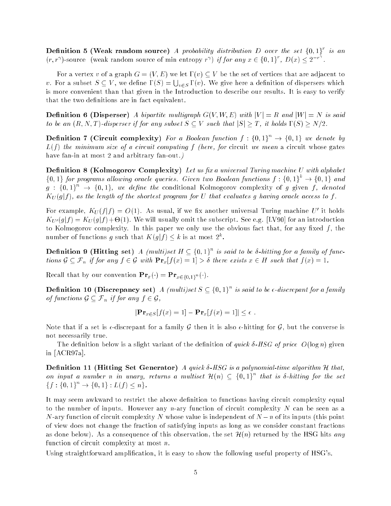**Definition 5 (Weak random source)** A probability distribution D over the set  $\{0,1\}$  is an  $(r, r^{\gamma})$ -source (weak random source of min entropy  $r^{\gamma}$ ) if for any  $x \in \{0, 1\}^{\prime}$ ,  $D(x) \leq 2^{-r}$ .

For a vertex v of a graph  $G = (V, E)$  we let  $\Gamma(v) \subset V$  be the set of vertices that are adjacent to v. For a subset  $S \subseteq V$ , we define  $\Gamma(S) = \bigcup_{v \in S} \Gamma(v)$ . We give here a definition of dispersers which is more convenient than that given in the Introduction to describe our results. It is easy to verify that the two definitions are in fact equivalent.

**Definition 6 (Disperser)** A bipartite multigraph  $G(V, W, E)$  with  $|V| = R$  and  $|W| = N$  is said to be an  $(R, N, T)$ -disperser if for any subset  $S \subset V$  such that  $|S| > T$ , it holds  $\Gamma(S) > N/2$ .

**Definition 7 (Circuit complexity)** for a Boolean function  $f : \{0,1\} \rightarrow \{0,1\}$  we denote by  $L(f)$  the minimum size of a circuit computing f (here, for circuit we mean a circuit whose gates have fan-in at most 2 and arbitrary fan-out.)

**Definition 8 (Kolmogorov Complexity)** Let us fix a universal Turing machine U with alphabet  $\{0,1\}$  for programs allowing oracle queries. Given two Boolean functions  $\mathfrak{f}:\{0,1\}\rightarrow\{0,1\}$  and  $g$  : {0,1}  $\rightarrow$  {0,1} we define the conditional Kolmogorov complexity of  $g$  given f, denoted  $K_U(g|f)$ , as the length of the shortest program for U that evaluates g having oracle access to f.

For example,  $KU(J|f) \equiv U(1)$ . As usual, if we fix another universal Turing machine  $U$  to noids  $\mathcal{L}^{\mathcal{L}}(0, \mathcal{C})$  , will define the subscripterally omitted into subscripter  $\mathcal{C}^{\mathcal{L}}(0, \mathcal{C})$  for an introduction to Kolmogorov complexity. In this paper we only use the obvious fact that, for any fixed  $f$ , the number of functions  $q$  such that  $K(q|I) \leq k$  is at most  $2^{\circ}$ .

**Definition 9 (Hitting set)** A (multi)set  $H \subseteq \{0, 1\}^{\sim}$  is said to be o-hitting for a family of functions  $\mathcal{G} \subseteq \mathcal{F}_n$  if for any  $f \in \mathcal{G}$  with  $\mathbf{Pr}_x[f(x) = 1] > \delta$  there exists  $x \in H$  such that  $f(x) = 1$ .

recall that by our convention  $\Gamma$   $\mathbf{r}_x$  ( ) =  $\Gamma$   $\mathbf{r}_x$  (1).

**Definition 10 (Discrepancy set)** A (multi)set  $S \subseteq \{0,1\}$  is said to be  $\epsilon$ -discrepant for a family of functions  $\mathcal{G} \subseteq \mathcal{F}_n$  if for any  $f \in \mathcal{G}$ ,

$$
|\mathbf{Pr}_{x \in S}[f(x) = 1] - \mathbf{Pr}_{x}[f(x) = 1]| \le \epsilon.
$$

Note that if a set is  $\epsilon$ -discrepant for a family G then it is also  $\epsilon$ -hitting for G, but the converse is not necessarily true.

The definition below is a slight variant of the definition of *quick*  $\delta$ -*HSG of price*  $O(\log n)$  given in [ACR97a].

Definition 11 (Hitting Set Generator) A quick  $\delta$ -HSG is a polynomial-time algorithm H that, on input a number n in unary, returns a multiset  $H(n) \subseteq \{0,1\}$  that is 0-hitting for the set  $\{f : \{0,1\}^n \rightarrow \{0,1\}^n : L(f) \leq n\}.$ 

It may seem awkward to restrict the above definition to functions having circuit complexity equal to the number of inputs. However any n-ary function of circuit complexity  $N$  can be seen as a N-ary function of circuit complexity N whose value is independent of  $N-n$  of its inputs (this point of view does not change the fraction of satisfying inputs as long as we consider constant fractions as done below). As a consequence of this observation, the set  $\mathcal{H}(n)$  returned by the HSG hits any function of circuit complexity at most n.

Using straightforward amplication, it is easy to show the following useful property of HSG's.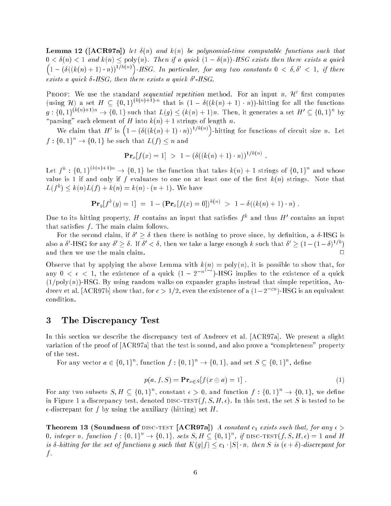**Lemma 12** ([ACR97a]) let  $\delta(n)$  and  $k(n)$  be polynomial-time computable functions such that  $0 < \delta(n) < 1$  and  $k(n) \leq \text{poly}(n)$ . Then if a quick  $(1 - \delta(n))$ -HSG exists then there exists a quick  $(1 - (\delta((k(n+1) \cdot n))^{1/k(n)})$ -HSG. In particular, for any two constants  $0 < \delta, \delta' < 1$ , if there exists a quick o-hsg, then there exists a quick o-hsg.

**PROOF:** We use the standard *sequential repetition* method. For an input  $n$ ,  $\boldsymbol{\mathcal{H}}$  inst computes (using H) a set  $H \subseteq \{0,1\}^{m \times m}$  of that is  $(1 - \delta((k(n) + 1) \cdot n))$ -hitting for all the functions  $g: \{0,1\}^n \longrightarrow \{0,1\}$  such that  $L(g) \leq (k(n) + 1)n$ . Then, it generates a set  $H' \subseteq \{0,1\}^n$  by "parsing" each element of H into  $k(n) + 1$  strings of length n.

We claim that H' is  $(1 - (\delta((k(n) + 1) \cdot n))^{1/k(n)})$ -hitting for functions of circuit size n. Letting for  $f(\mathbf{r})$  and  $f(\mathbf{r})$  size n. Letting for  $\mathbf{r}$  $f : \{0,1\}^n \to \{0,1\}$  be such that  $L(f) \leq n$  and

$$
\mathbf{Pr}_x[f(x) = 1] > 1 - (\delta((k(n) + 1) \cdot n))^{1/k(n)}
$$

Let  $f^* : \{0,1\}^{\cdots} \rightarrow \{0,1\}$  be the function that takes  $k(n) + 1$  strings of  $\{0,1\}^{\cdots}$  and whose value is 1 if and only if f evaluates to one on at least one of the first  $k(n)$  strings. Note that  $L(f) \leq k(n)L(f) + k(n) = k(n) \cdot (n+1)$ . We have

$$
\mathbf{Pr}_y[f^k(y) = 1] = 1 - (\mathbf{Pr}_x[f(x) = 0])^{k(n)} > 1 - \delta((k(n) + 1) \cdot n).
$$

Due to its intuing property,  $H$  contains an input that satismes  $f^*$  and thus  $H^*$  contains an input that satisfies  $f$ . The main claim follows.

For the second claim, if  $\sigma > \sigma$  then there is nothing to prove since, by demittion, a  $\sigma$ -HSG is also a  $\sigma$  -ms  $\sigma$  tor any  $\sigma > \sigma$ . If  $\sigma < \sigma$ , then we take a large enough  $\kappa$  such that  $\sigma > (1 - (1 - \sigma)^{-\sigma + \sigma})$ and then we use the main claim.  $\Box$ 

Observe that by applying the above Lemma with  $k(n) = \text{poly}(n)$ , it is possible to show that, for any  $0 < \epsilon < 1$ , the existence of a quick  $(1 - 2^{-n})$ -HSG implies to the existence of a quick  $(1/poly(n))$ -HSG. By using random walks on expander graphs instead that simple repetition, Andreev et al. [ACR97b] show that, for  $c > 1/2$ , even the existence of a  $(1-2^{-cn})$ -HSG is an equivalent condition.

## 3 The Discrepancy Test

In this section we describe the discrepancy test of Andreev et al. [ACR97a]. We present a slight variation of the proof of [ACR97a] that the test is sound, and also prove a "completeness" property of the test.

For any vector  $a \in \{0,1\}$  , function  $\tau:\{0,1\} \rightarrow \{0,1\},$  and set  $S \subseteq \{0,1\}$  , define

$$
p(a, f, S) = \mathbf{Pr}_{x \in S} [f(x \oplus a) = 1]. \tag{1}
$$

For any two subsets  $S, H \subseteq \{0, 1\}$ , constant  $\epsilon > 0$ , and function  $f : \{0, 1\} \rightarrow \{0, 1\}$ , we define in Figure 1 a discrepancy test, denoted DISC-TEST $(f, S, H, \epsilon)$ . In this test, the set S is tested to be  $\epsilon$ -discrepant for f by using the auxiliary (hitting) set H.

**Theorem 13 (Soundness of DISC-TEST [ACR97a])** A constant  $c_1$  exists such that, for any  $\epsilon$  > 0, integer n, function  $f : \{0,1\}^c \rightarrow \{0,1\}$ , sets  $S, H \subseteq \{0,1\}^c$  if DISC-TEST $(f, S, H, \epsilon) = 1$  and H is  $\delta$ -hitting for the set of functions g such that  $K(g|f) \leq c_1 \cdot |S| \cdot n$ , then S is  $(\epsilon + \delta)$ -discrepant for  $f$  .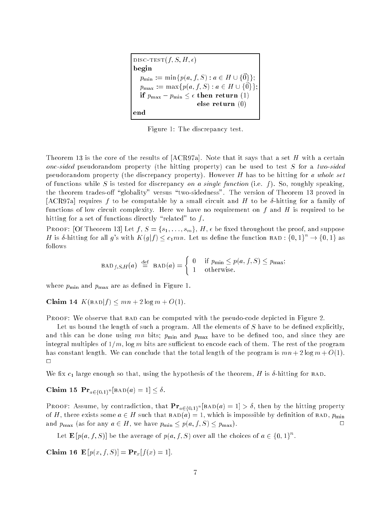DISC-TEST $(f, S, H, \epsilon)$ begin  $p_{\min} := \min\{p(a, f, S) : a \in H \cup \{\vec{0}\}\};$  $p_{\text{max}} := \max\{p(a, f, S) : a \in H \cup \{\vec{0}\}\}\$ if  $p_{\text{max}} - p_{\text{min}} \leq \epsilon$  then return (1) else return (0) end

Figure 1: The discrepancy test.

Theorem 13 is the core of the results of  $[ACR97a]$ . Note that it says that a set H with a certain one-sided pseudorandom property (the hitting property) can be used to test S for a two-sided pseudorandom property (the discrepancy property). However  $H$  has to be hitting for a whole set of functions while S is tested for discrepancy on a single function (i.e. f). So, roughly speaking, the theorem trades-off "globality" versus "two-sidedness". The version of Theorem 13 proved in [ACR97a] requires f to be computable by a small circuit and H to be  $\delta$ -hitting for a family of functions of low circuit complexity. Here we have no requirement on  $f$  and  $H$  is required to be hitting for a set of functions directly "related" to  $f$ .

**PROOF:** [Of Theorem 13] Let  $f, S = \{s_1, \ldots, s_m\}, H, \epsilon$  be fixed throughout the proof, and suppose H is  $\delta$ -hitting for all g's with  $K(g|f) < c_1mn$ . Let us define the function BAD :  $\{0,1\}^n \rightarrow \{0,1\}$  as follows

$$
\text{BAD}_{f,S,H}(a) \stackrel{\text{def}}{=} \text{BAD}(a) = \begin{cases} 0 & \text{if } p_{\min} \le p(a,f,S) \le p_{\max}; \\ 1 & \text{otherwise.} \end{cases}
$$

where  $p_{\min}$  and  $p_{\max}$  are as defined in Figure 1.

Claim 14  $K(BAD|f) \le mn + 2 log m + O(1)$ .

PROOF: We observe that BAD can be computed with the pseudo-code depicted in Figure 2.

Let us bound the length of such a program. All the elements of S have to be defined explicitly, and this can be done using  $mn$  bits;  $p_{\min}$  and  $p_{\max}$  have to be defined too, and since they are integral multiples of  $1/m$ , log m bits are sufficient to encode each of them. The rest of the program has constant length. We can conclude that the total length of the program is  $mn + 2 \log m + O(1)$ .  $\Box$ 

We fix  $c_1$  large enough so that, using the hypothesis of the theorem, H is  $\delta$ -hitting for BAD.

CRAIM 19 Pra $_{a \in \{0,1\}^n}$  [bad(a) = 1]  $\geq$  0.

r noor: Assume, by contradiction, that  $P_{a \in \{0,1\}^n}$  [bad(a) = 1] > 0, then by the hitting property of H, there exists some  $a \in H$  such that  $BAD(a) = 1$ , which is impossible by definition of  $BAD$ ,  $p_{\min}$ and  $p_{\text{max}}$  (as for any  $a \in H$ , we have  $p_{\text{min}} \leq p(a, f, S) \leq p_{\text{max}}$ ).

Let  $\mathbf{E}\left[p(a, t, S)\right]$  be the average of  $p(a, t, S)$  over all the choices of  $a \in \{0, 1\}$ .

Claim 16 E  $[p(x, f, S)] = Pr_x[f(x) = 1].$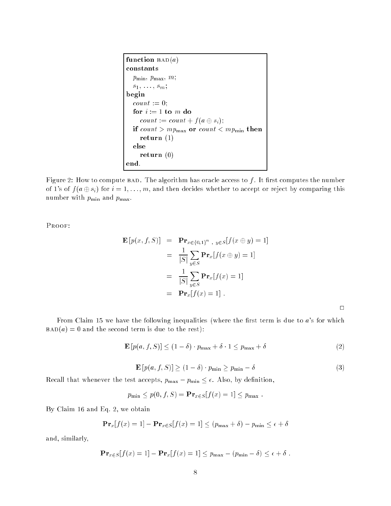```
function BAD(a)constants
  p_{\min}, p_{\max}, m;s_1, \ldots, s_m;begin
  count := 0;for i := 1 to m do
     count := count + f(a \oplus s_i);if count > mp_{\text{max}} or count < mp_{\text{min}} then
     return (1)else
     return (0)
end.
```
Figure 2: How to compute BAD. The algorithm has oracle access to  $f$ . It first computes the number of 1's of  $f(a \oplus s_i)$  for  $i = 1, \ldots, m$ , and then decides whether to accept or reject by comparing this number with  $p_{\min}$  and  $p_{\max}$ .

Proof:

$$
\mathbf{E}\left[p(x,f,S)\right] = \mathbf{Pr}_{x \in \{0,1\}^n, y \in S}[f(x \oplus y) = 1]
$$

$$
= \frac{1}{|S|} \sum_{y \in S} \mathbf{Pr}_x[f(x \oplus y) = 1]
$$

$$
= \frac{1}{|S|} \sum_{y \in S} \mathbf{Pr}_x[f(x) = 1]
$$

$$
= \mathbf{Pr}_x[f(x) = 1].
$$

 $\Box$ 

From Claim 15 we have the following inequalities (where the first term is due to  $a$ 's for which  $BAD(a) = 0$  and the second term is due to the rest):

$$
\mathbf{E}\left[p(a,f,S)\right] \le (1-\delta) \cdot p_{\max} + \delta \cdot 1 \le p_{\max} + \delta \tag{2}
$$

$$
\mathbf{E}\left[p(a,f,S)\right] \ge (1-\delta) \cdot p_{\min} \ge p_{\min} - \delta \tag{3}
$$

Recall that whenever the test accepts,  $p_{\text{max}} - p_{\text{min}} \leq \epsilon$ . Also, by definition,

$$
p_{\min} \leq p(0, f, S) = \mathbf{Pr}_{x \in S}[f(x) = 1] \leq p_{\max}.
$$

By Claim 16 and Eq. 2, we obtain

$$
\mathbf{Pr}_{x}[f(x) = 1] - \mathbf{Pr}_{x \in S}[f(x) = 1] \le (p_{\max} + \delta) - p_{\min} \le \epsilon + \delta
$$

and, similarly,

$$
\mathbf{Pr}_{x \in S}[f(x) = 1] - \mathbf{Pr}_{x}[f(x) = 1] \le p_{\max} - (p_{\min} - \delta) \le \epsilon + \delta.
$$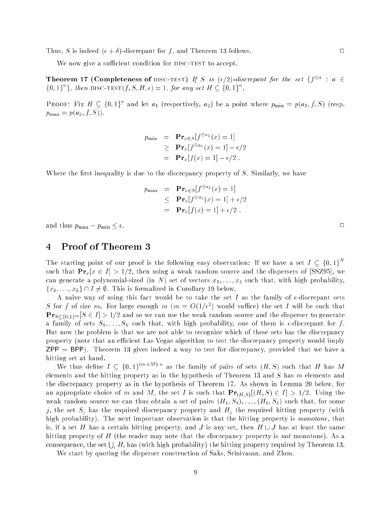Thus, S is indeed  $(\epsilon + \delta)$ -discrepant for f, and Theorem 13 follows.

We now give a sufficient condition for DISC-TEST to accept.

**Theorem 17 (Completeness of** DISC-TEST) If S is  $(\epsilon/2)$ -aiscrepant for the set  $\{\tau^{\omega} : a \in$  $\{0, 1\}$  finen DISC-TEST(f, S, H,  $\epsilon$ ) = 1, for any set H  $\subseteq$  {0, 1}.

PROOF: Fix  $H \subseteq \{0,1\}$  and let  $a_1$  (respectively,  $a_2$ ) be a point where  $p_{\min} = p(a_1, f, S)$  (resp.  $p_{\text{max}} = p(a_2, f, S)$ .

$$
p_{\min} = \mathbf{Pr}_{x \in S} [f^{\oplus a_1}(x) = 1]
$$
  
\n
$$
\geq \mathbf{Pr}_x [f^{\oplus a_1}(x) = 1] - \epsilon/2
$$
  
\n
$$
= \mathbf{Pr}_x [f(x) = 1] - \epsilon/2.
$$

Where the first inequality is due to the discrepancy property of  $S$ . Similarly, we have

$$
p_{\max} = \mathbf{Pr}_{x \in S} [f^{\oplus a_2}(x) = 1]
$$
  
\n
$$
\leq \mathbf{Pr}_x [f^{\oplus a_2}(x) = 1] + \epsilon/2
$$
  
\n
$$
= \mathbf{Pr}_x [f(x) = 1] + \epsilon/2.
$$

and thus  $p_{\max} - p_{\min} \leq \epsilon$ .

## 4 Proof of Theorem 3

The starting point of our proof is the following easy observation: If we have a set  $I \subseteq \{0,1\}^N$ such that  $\Pr_x[x \in I] > 1/2$ , then using a weak random source and the dispersers of [SSZ95], we can generate a polynomial-sized (in N) set of vectors  $x_1, \ldots, x_k$  such that, with high probability,  ${x_1, \ldots, x_k} \cap I \neq \emptyset$ . This is formalized in Corollary 19 below.

A naive way of using this fact would be to take the set I as the family of  $\epsilon$ -discrepant sets  $S$  for f of size  $m$ . For large enough  $m$  ( $m = O(1/\epsilon^2)$  would suffice) the set I will be such that  $\mathbf{Pr}_{S\subseteq\{0,1\}^m}[S \in I] > 1/2$  and so we can use the weak random source and the disperser to generate a family of sets  $S_1, \ldots, S_k$  such that, with high probability, one of them is  $\epsilon$ -discrepant for f. But now the problem is that we are not able to recognize which of these sets has the discrepancy property (note that an efficient Las Vegas algorithm to test the discrepancy property would imply  $ZPP = BPP$ ). Theorem 13 gives indeed a way to test for discrepancy, provided that we have a hitting set at hand.

We thus define  $I \subseteq \{0,1\}^{m+1}, n$  as the family of pairs of sets  $(H, S)$  such that H has M elements and the hitting property as in the hypothesis of Theorem 13 and  $S$  has  $m$  elements and the discrepancy property as in the hypothesis of Theorem 17. As shown in Lemma 20 below, for an appropriate choice of m and M, the set I is such that  $Pr_{(H,S)}[(H, S) \in I] > 1/2$ . Using the weak random source we can thus obtain a set of pairs  $(H_1, S_1), \ldots, (H_k, S_k)$  such that, for some j, the set  $S_j$  has the required discrepancy property and  $H_j$  the required hitting property (with high probability). The next important observation is that the hitting property is *monotone*, that is, if a set H has a certain hitting property, and J is any set, then  $H \cup J$  has at least the same hitting property of  $H$  (the reader may note that the discrepancy property is *not* monotone). As a consequence, the set  $\bigcup_i H_i$  has (with high probability) the hitting property required by Theorem 13.

We start by quoting the disperser construction of Saks, Srinivasan, and Zhou.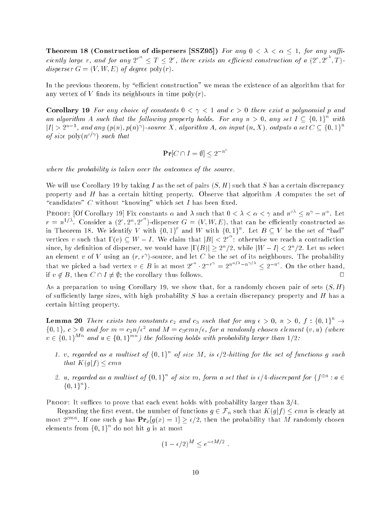Theorem 18 (Construction of dispersers [SSZ95]) For any  $0 < \lambda < \alpha \leq 1$ , for any sufficiently large r, and for any  $2^{r} < T < 2^{r}$ , there exists an efficient construction of a  $(2^{r}, 2^{r}, T)$ . disperser  $G = (V, W, E)$  of degree poly $(r)$ .

In the previous theorem, by "efficient construction" we mean the existence of an algorithm that for any vertex of V finds its neighbours in time  $\text{poly}(r)$ .

**Corollary 19** For any choice of constants  $0 < \gamma < 1$  and  $c > 0$  there exist a polynomial p and an algorithm A such that the following property holds. For any  $n > 0$ , any set  $I \subseteq \{0,1\}^+$  with  $|I| > 2^{n-1}$ , and any  $(p(n), p(n))$  source X, algorithm A, on input  $(n, X)$ , outputs a set  $C \subseteq \{0, 1\}$ of size poly $(n^{c/\gamma})$  such that

$$
\Pr[C \cap I = \emptyset] < 2^{-n^c}
$$

where the probability is taken over the outcomes of the source.

We will use Corollary 19 by taking I as the set of pairs  $(S, H)$  such that S has a certain discrepancy property and H has a certain hitting property. Observe that algorithm A computes the set of "candidates" C without "knowing" which set I has been fixed.

FROOF: [OI COFOILATY 19] FIX CONStants  $\alpha$  and  $\lambda$  such that  $0 \leq \lambda \leq \alpha \leq \gamma$  and  $n^{+} \leq n^{+} - n^{+}$ . Let  $r = n^{1/3}$ . Consider a  $(2^r, 2^n, 2^{r})$ -disperser  $G = (V, W, E)$ , that can be efficiently constructed as in Theorem 18. We identify V with  $\{0,1\}$  and W with  $\{0,1\}$  . Let  $B\subseteq V$  be the set of "bad" vertices v such that  $\Gamma(v) \subset W - I$ . We claim that  $|B| < 2^{r-1}$ : otherwise we reach a contradiction since, by definition of disperser, we would have  $|1|D|| \geq 2^n/2$ , while  $|W| = 1 \leq 2^n/2$ . Let us select an element v of v using an  $(r, r$  -source, and let  $C$  be the set of its neighbours. The probability that we picked a bad vertex  $v \in B$  is at most  $2^{r-1} \cdot 2^{-r} = 2^{n-r-1} \cdot 2^{r-n-1} \cdot \text{Con}$  the other hand, if  $v \notin B$ , then  $C \cap I \neq \emptyset$ ; the corollary thus follows.  $\Box$ 

As a preparation to using Corollary 19, we show that, for a randomly chosen pair of sets  $(S, H)$ of sufficiently large sizes, with high probability  $S$  has a certain discrepancy property and  $H$  has a certain hitting property.

**Lemma 20** There exists two constants  $c_2$  and  $c_3$  such that for any  $\epsilon > 0$ ,  $n > 0$ ,  $f : \{0,1\} \rightarrow$  $\{0,1\},\;c>0$  and for  $m\equiv c_2n/\epsilon^-$  and  $M\equiv c_3cmn/\epsilon,$  for a randomly chosen element  $(v,u)$  (where  $v \in \{0,1\}^{Mn}$  and  $u \in \{0,1\}^{mn}$ ) the following holds with probability larger than  $1/2$ :

- 1. v, regarded as a multiset of  $\{0,1\}^+$  of size M, is  $\epsilon/2$ -hitting for the set of functions  $q$  such that  $K(g|f) < c mn$
- 2. u, regarded as a multiset of  $\{0, 1\}$  of size m, form a set that is  $\epsilon/4$ -discrepant for  $\{\uparrow^{\omega^\omega} : a \in$ f0; 1g <sup>n</sup> g.

**PROOF:** It suffices to prove that each event holds with probability larger than  $3/4$ .

Regarding the first event, the number of functions  $g\in {\cal F}_n$  such that  $K(g|f)\leq cmn$  is clearly at most 2<sup>cmar</sup>. If one such g has  $\Pr_x[g(x) = 1] \geq \epsilon/2$ , then the probability that M randomly chosen elements from  $\{0,1\}^{\sim}$  do not hit g is at most

$$
(1 - \epsilon/2)^M \le e^{-\epsilon M/2}
$$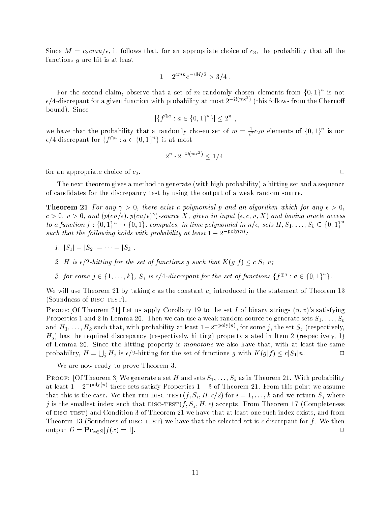Since  $M = c_3 c m n/\epsilon$ , it follows that, for an appropriate choice of  $c_3$ , the probability that all the functions  $g$  are hit is at least

$$
1 - 2^{cmn}e^{-\epsilon M/2} > 3/4
$$
.

For the second claim, observe that a set of  $m$  randomly chosen elements from {0,1} is not  $\epsilon/4$ -discrepant for a given function with probability at most  $2^{-\omega(m\epsilon^2)}$  (this follows from the Chernoff bound). Since

$$
|\{f^{\oplus a} : a \in \{0, 1\}^n\}| \le 2^n
$$

we have that the probability that a randomly chosen set of  $m = \frac{1}{\epsilon^2} c_2 n$  elements of  $\{0,1\}$  is not  $\epsilon$ /4-discrepant for  $\{f^{\omega^{\omega}} : a \in \{0,1\}^+\}$  is at most

$$
2^n \cdot 2^{-\Omega(m\epsilon^2)} < 1/4
$$

for an appropriate choice of  $c_2$ .

The next theorem gives a method to generate (with high probability) a hitting set and a sequence of candidates for the discrepancy test by using the output of a weak random source.

**Theorem 21** For any  $\gamma > 0$ , there exist a polynomial p and an algorithm which for any  $\epsilon > 0$ ,  $c > 0, \, n > 0, \,$  and  $\{p(\textit{cn}/\epsilon), p(\textit{cn}/\epsilon)\}$  -source  $\Lambda$  , given in input  $(\epsilon, c, n, \Lambda)$  and having oracle access to a function  $f : \{0,1\}^n \to \{0,1\}$ , computes, in time polynomial in  $n/\epsilon$ , sets  $H, S_1, \ldots, S_k \subseteq \{0,1\}$ such that the following holds with probability at least  $1 - 2$  follows:

- 1.  $|S_1| = |S_2| = \cdots = |S_k|$ .
- 2. H is  $\epsilon/2$ -hitting for the set of functions g such that  $K(g|f) < c|S_1|n$ ;
- 3. for some  $j \in \{1, \ldots, k\}$ ,  $S_j$  is  $\epsilon/4$ -discrepant for the set of functions  $\{f^{\omega^{\omega}} : a \in \{0, 1\} \}$ .

We will use Theorem 21 by taking c as the constant  $c_1$  introduced in the statement of Theorem 13 (Soundness of DISC-TEST).

PROOF: [Of Theorem 21] Let us apply Corollary 19 to the set I of binary strings  $(u, v)$ 's satisfying Properties 1 and 2 in Lemma 20. Then we can use a weak random source to generate sets  $S_1, \ldots, S_k$ and  $H_1, \ldots, H_k$  such that, with probability at least  $1 - 2^{-p}$  over , for some  $j$ , the set  $S_j$  (respectively,  $H<sub>i</sub>$ ) has the required discrepancy (respectively, hitting) property stated in Item 2 (respectively, 1) of Lemma 20. Since the hitting property is monotone we also have that, with at least the same probability,  $H = \bigcup_i H_j$  is  $\epsilon/2$ -hitting for the set of functions g with  $K(g|f) \le c|S_1|n$ .  $\Box$ 

We are now ready to prove Theorem 3.

PROOF: [Of Theorem 3] We generate a set H and sets  $S_1, \ldots, S_k$  as in Theorem 21. With probability at least  $1 - 2$  polyton these sets satisfy Properties  $1 - 3$  of Theorem 21. From this point we assume that this is the case. We then run DISC-TEST $(f, S_i, H, \epsilon/2)$  for  $i = 1, \ldots, k$  and we return  $S_i$  where j is the smallest index such that DISC-TEST $(f, S_j, H, \epsilon)$  accepts. From Theorem 17 (Completeness of disc-test) and Condition 3 of Theorem 21 we have that at least one such index exists, and from Theorem 13 (Soundness of DISC-TEST) we have that the selected set is  $\epsilon$ -discrepant for f. We then output  $D = \mathbf{Pr}_{x \in S}[f(x) = 1].$  $\Box$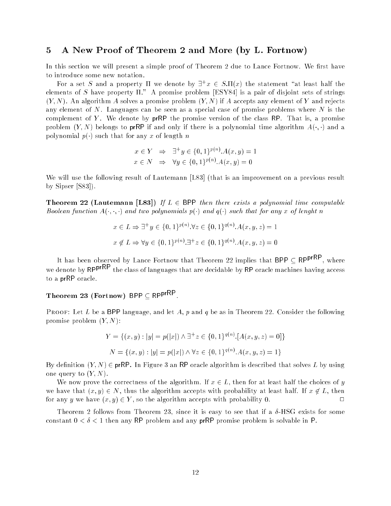## 5 A New Proof of Theorem 2 and More (by L. Fortnow)

In this section we will present a simple proof of Theorem 2 due to Lance Fortnow. We first have to introduce some new notation.

For a set  $S$  and a property 11 we denote by  $\exists^*x\in S.$ II(x) the statement  $\;$  at least half the elements of S have property  $\Pi$ ." A promise problem [ESY84] is a pair of disjoint sets of strings  $(Y, N)$ . An algorithm A solves a promise problem  $(Y, N)$  if A accepts any element of Y and rejects any element of N. Languages can be seen as a special case of promise problems where N is the complement of Y. We denote by  $prRP$  the promise version of the class RP. That is, a promise problem  $(Y, N)$  belongs to prRP if and only if there is a polynomial time algorithm  $A(\cdot, \cdot)$  and a polynomial  $p(\cdot)$  such that for any x of length n

$$
x \in Y \Rightarrow \exists^+ y \in \{0, 1\}^{p(n)} \cdot A(x, y) = 1
$$
  

$$
x \in N \Rightarrow \forall y \in \{0, 1\}^{p(n)} \cdot A(x, y) = 0
$$

We will use the following result of Lautemann [L83] (that is an improvement on a previous result by Sipser [S83]).

**Theorem 22 (Lautemann [L83])** If  $L \in$  BPP then there exists a polynomial time computable Boolean function  $A(\cdot, \cdot)$  and two polynomials  $p(\cdot)$  and  $q(\cdot)$  such that for any x of lenght n

$$
x \in L \Rightarrow \exists^+ y \in \{0, 1\}^{p(n)}.\forall z \in \{0, 1\}^{q(n)}. A(x, y, z) = 1
$$
  

$$
x \notin L \Rightarrow \forall y \in \{0, 1\}^{p(n)}.\exists^+ z \in \{0, 1\}^{q(n)}. A(x, y, z) = 0
$$

It has been observed by Lance Fortnow that Theorem 22 implies that BPP  $\subseteq$  RPprappresent , where we denote by RPP<sup>rRP</sup> the class of languages that are decidable by RP oracle machines having access to a prRP oracle.

#### $I$  heorem 23 (Fortnow) BPP  $\subset$  RPpr  $\sim$  .

**PROOF:** Let L be a BPP language, and let A, p and q be as in Theorem 22. Consider the following promise problem  $(Y, N)$ :

$$
Y = \{(x, y) : |y| = p(|x|) \land \exists^+ z \in \{0, 1\}^{q(n)} \cdot [A(x, y, z) = 0] \}
$$

$$
N = \{(x, y) : |y| = p(|x|) \land \forall z \in \{0, 1\}^{q(n)} \cdot A(x, y, z) = 1 \}
$$

By definition  $(Y, N) \in \text{prRP}$ . In Figure 3 an RP oracle algorithm is described that solves L by using one query to  $(Y, N)$ .

We now prove the correctness of the algorithm. If  $x \in L$ , then for at least half the choices of y we have that  $(x, y) \in N$ , thus the algorithm accepts with probability at least half. If  $x \notin L$ , then for any y we have  $(x, y) \in Y$ , so the algorithm accepts with probability 0.  $\Box$ 

Theorem 2 follows from Theorem 23, since it is easy to see that if a  $\delta$ -HSG exists for some constant  $0 < \delta < 1$  then any RP problem and any prRP promise problem is solvable in P.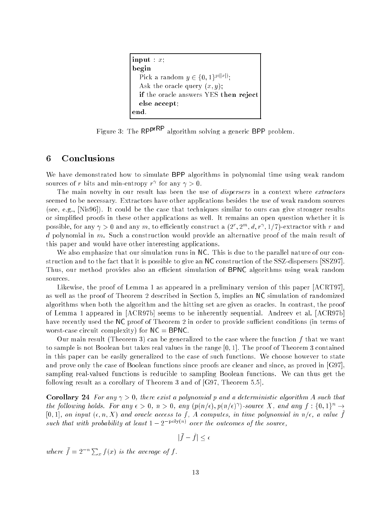```
input: x;begin
  Pick a random y \in \{0, 1\}^{r \times r \times r};
  Ask the oracle query (x, y);
  if the oracle answers YES then reject
  else accept;
end.
```
Figure 3: The RP<sup>prRP</sup> algorithm solving a generic BPP problem.

## 6 Conclusions

We have demonstrated how to simulate BPP algorithms in polynomial time using weak random sources of r bits and min-entropy r tor any  $\gamma > 0$ .

The main novelty in our result has been the use of *dispersers* in a context where  $\emph{extractors}$ seemed to be necessary. Extractors have other applications besides the use of weak random sources (see, e.g., [Nis96]). It could be the case that techniques similar to ours can give stronger results or simplied proofs in these other applications as well. It remains an open question whether it is possible, for any  $\gamma > 0$  and any  $m$ , to emclently construct a  $\{Z^+, Z^+, a, r^+, 1/r\}$  extractor with  $r$  and  $d$  polynomial in  $m$ . Such a construction would provide an alternative proof of the main result of this paper and would have other interesting applications.

We also emphasize that our simulation runs in NC. This is due to the parallel nature of our construction and to the fact that it is possible to give an NC construction of the SSZ-dispersers [SSZ97]. Thus, our method provides also an efficient simulation of BPNC algorithms using weak random sources.

Likewise, the proof of Lemma 1 as appeared in a preliminary version of this paper [ACRT97], as well as the proof of Theorem 2 described in Section 5, implies an NC simulation of randomized algorithms when both the algorithm and the hitting set are given as oracles. In contrast, the proof of Lemma 1 appeared in [ACR97b] seems to be inherently sequential. Andreev et al. [ACR97b] have recently used the NC proof of Theorem 2 in order to provide sufficient conditions (in terms of worst-case circuit complexity) for  $NC = BPNC$ .

Our main result (Theorem 3) can be generalized to the case where the function  $f$  that we want to sample is not Boolean but takes real values in the range [0; 1]. The proof of Theorem 3 contained in this paper can be easily generalized to the case of such functions. We choose however to state and prove only the case of Boolean functions since proofs are cleaner and since, as proved in [G97], sampling real-valued functions is reducible to sampling Boolean functions. We can thus get the following result as a corollary of Theorem 3 and of [G97, Theorem 5.5].

**Corollary 24** For any  $\gamma > 0$ , there exist a polynomial p and a deterministic algorithm A such that the following holds. For any  $\epsilon > 0$ ,  $n > 0$ , any  $\{p(n/\epsilon), p(n/\epsilon)\}$ -source  $\Lambda$ , and any f :  $\{\theta, 1\} \rightarrow$  $[0,1]$ , on input  $(\epsilon, n, \Lambda)$  and oracle access to  $\ell$ , A computes, in time polynomial in n/ $\epsilon$ , a value  $\ell$ such that with probability at least  $1 - 2$  polyton) over the outcomes of the source,

$$
|\bar{f} - \tilde{f}| \le \epsilon
$$

where  $f = 2^{-n} \sum_x f(x)$  is the average of f.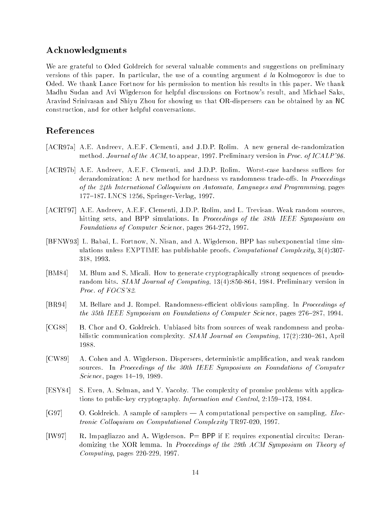# Acknowledgments

We are grateful to Oded Goldreich for several valuable comments and suggestions on preliminary versions of this paper. In particular, the use of a counting argument  $\acute{a}$  la Kolmogorov is due to Oded. We thank Lance Fortnow for his permission to mention his results in this paper. We thank Madhu Sudan and Avi Wigderson for helpful discussions on Fortnow's result, and Michael Saks, Aravind Srinivasan and Shiyu Zhou for showing us that OR-dispersers can be obtained by an NC construction, and for other helpful conversations.

# References

- [ACR97a] A.E. Andreev, A.E.F. Clementi, and J.D.P. Rolim. A new general de-randomization method. Journal of the ACM, to appear, 1997. Preliminary version in Proc. of ICALP'96.
- [ACR97b] A.E. Andreev, A.E.F. Clementi, and J.D.P. Rolim. Worst-case hardness suffices for derandomization: A new method for hardness vs randomness trade-offs. In Proceedings of the 24th International Colloquium on Automata, Languages and Programming, pages 177-187. LNCS 1256, Springer-Verlag, 1997.
- [ACRT97] A.E. Andreev, A.E.F. Clementi, J.D.P. Rolim, and L. Trevisan. Weak random sources, hitting sets, and BPP simulations. In *Proceedings of the 38th IEEE Symposium on* Foundations of Computer Science, pages 264-272, 1997.
- [BFNW93] L. Babai, L. Fortnow, N. Nisan, and A. Wigderson. BPP has subexponential time simulations unless EXPTIME has publishable proofs. *Computational Complexity*,  $3(4):307$ -318, 1993.
- [BM84] M. Blum and S. Micali. How to generate cryptographically strong sequences of pseudorandom bits. SIAM Journal of Computing, 13(4):850-864, 1984. Preliminary version in Proc. of FOCS'82.
- [BR94] M. Bellare and J. Rompel. Randomness-efficient oblivious sampling. In *Proceedings of* the 35th IEEE Symposium on Foundations of Computer Science, pages 276-287, 1994.
- [CG88] B. Chor and O. Goldreich. Unbiased bits from sources of weak randomness and probabilistic communication complexity. SIAM Journal on Computing,  $17(2):230{-}261$ , April 1988.
- [CW89] A. Cohen and A. Wigderson. Dispersers, deterministic amplication, and weak random sources. In Proceedings of the 30th IEEE Symposium on Foundations of Computer Science, pages  $14-19$ , 1989.
- [ESY84] S. Even, A. Selman, and Y. Yacoby. The complexity of promise problems with applications to public-key cryptography. Information and Control, 2:159-173, 1984.
- [G97] O. Goldreich. A sample of samplers A computational perspective on sampling. *Elec*tronic Colloquium on Computational Complexity TR97-020, 1997.
- [IW97] R. Impagliazzo and A. Wigderson.  $P=$  BPP if E requires exponential circuits: Derandomizing the XOR lemma. In *Proceedings of the 29th ACM Symposium on Theory of* Computing, pages 220-229, 1997.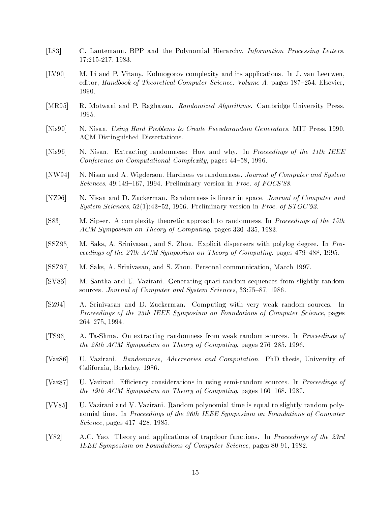- [L83] C. Lautemann. BPP and the Polynomial Hierarchy. Information Processing Letters, 17:215-217, 1983.
- [LV90] M. Li and P. Vitany. Kolmogorov complexity and its applications. In J. van Leeuwen, editor, Handbook of Theoretical Computer Science, Volume A, pages  $187-254$ . Elsevier,
- [MR95] R. Motwani and P. Raghavan. *Randomized Algorithms*. Cambridge University Press,
- [Nis90] N. Nisan. Using Hard Problems to Create Pseudorandom Generators. MIT Press, 1990. ACM Distinguished Dissertations.
- [Nis96] N. Nisan. Extracting randomness: How and why. In *Proceedings of the 11th IEEE* Conference on Computational Complexity, pages 44-58, 1996.
- [NW94] N. Nisan and A. Wigderson. Hardness vs randomness. Journal of Computer and System Sciences,  $49:149{-}167$ , 1994. Preliminary version in Proc. of FOCS'88.
- [NZ96] N. Nisan and D. Zuckerman. Randomness is linear in space. Journal of Computer and System Sciences,  $52(1):43{-}52$ , 1996. Preliminary version in *Proc. of STOC'93*.
- [S83] M. Sipser. A complexity theoretic approach to randomness. In Proceedings of the 15th  $ACM$  Symposium on Theory of Computing, pages 330–335, 1983.
- [SSZ95] M. Saks, A. Srinivasan, and S. Zhou. Explicit dispersers with polylog degree. In Proceedings of the 27th ACM Symposium on Theory of Computing, pages  $479{-}488$ , 1995.
- [SSZ97] M. Saks, A. Srinivasan, and S. Zhou. Personal communication, March 1997.
- [SV86] M. Santha and U. Vazirani. Generating quasi-random sequences from slightly random sources. Journal of Computer and System Sciences, 33:75-87, 1986.
- [SZ94] A. Srinivasan and D. Zuckerman. Computing with very weak random sources. In Proceedings of the 35th IEEE Symposium on Foundations of Computer Science, pages 264{275, 1994.
- [TS96] A. Ta-Shma. On extracting randomness from weak random sources. In Proceedings of the 28th ACM Symposium on Theory of Computing, pages  $276{\text -}285$ , 1996.
- [Vaz86] U. Vazirani. Randomness, Adversaries and Computation. PhD thesis, University of California, Berkeley, 1986.
- [Vaz87] U. Vazirani. Efficiency considerations in using semi-random sources. In *Proceedings of* the 19th ACM Symposium on Theory of Computing, pages  $160{-}168$ , 1987.
- [VV85] U. Vazirani and V. Vazirani. Random polynomial time is equal to slightly random polynomial time. In Proceedings of the 26th IEEE Symposium on Foundations of Computer *Science*, pages  $417{-}428$ , 1985.
- [Y82] A.C. Yao. Theory and applications of trapdoor functions. In Proceedings of the 23rd IEEE Symposium on Foundations of Computer Science, pages 80-91, 1982.